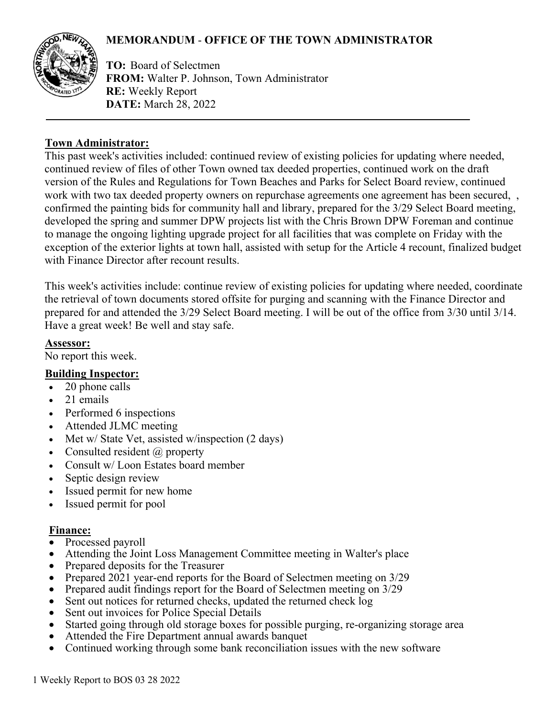# **MEMORANDUM** - **OFFICE OF THE TOWN ADMINISTRATOR**



**TO:** Board of Selectmen **FROM:** Walter P. Johnson, Town Administrator **RE:** Weekly Report **DATE:** March 28, 2022

### **Town Administrator:**

This past week's activities included: continued review of existing policies for updating where needed, continued review of files of other Town owned tax deeded properties, continued work on the draft version of the Rules and Regulations for Town Beaches and Parks for Select Board review, continued work with two tax deeded property owners on repurchase agreements one agreement has been secured, confirmed the painting bids for community hall and library, prepared for the 3/29 Select Board meeting, developed the spring and summer DPW projects list with the Chris Brown DPW Foreman and continue to manage the ongoing lighting upgrade project for all facilities that was complete on Friday with the exception of the exterior lights at town hall, assisted with setup for the Article 4 recount, finalized budget with Finance Director after recount results.

This week's activities include: continue review of existing policies for updating where needed, coordinate the retrieval of town documents stored offsite for purging and scanning with the Finance Director and prepared for and attended the 3/29 Select Board meeting. I will be out of the office from 3/30 until 3/14. Have a great week! Be well and stay safe.

### **Assessor:**

No report this week.

# **Building Inspector:**

- 20 phone calls
- 21 emails
- Performed 6 inspections
- Attended JLMC meeting
- Met w/ State Vet, assisted w/inspection (2 days)
- Consulted resident  $(a)$  property
- Consult w/ Loon Estates board member
- Septic design review
- Issued permit for new home
- Issued permit for pool

# **Finance:**

- Processed payroll
- Attending the Joint Loss Management Committee meeting in Walter's place
- Prepared deposits for the Treasurer
- Prepared 2021 year-end reports for the Board of Selectmen meeting on 3/29
- Prepared audit findings report for the Board of Selectmen meeting on 3/29
- Sent out notices for returned checks, updated the returned check log
- Sent out invoices for Police Special Details
- Started going through old storage boxes for possible purging, re-organizing storage area
- Attended the Fire Department annual awards banquet
- Continued working through some bank reconciliation issues with the new software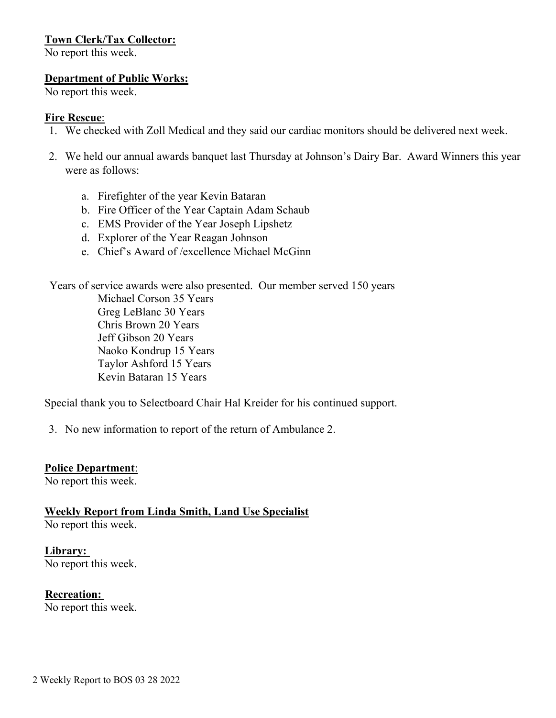# **Town Clerk/Tax Collector:**

No report this week.

#### **Department of Public Works:**

No report this week.

#### **Fire Rescue**:

- 1. We checked with Zoll Medical and they said our cardiac monitors should be delivered next week.
- 2. We held our annual awards banquet last Thursday at Johnson's Dairy Bar. Award Winners this year were as follows:
	- a. Firefighter of the year Kevin Bataran
	- b. Fire Officer of the Year Captain Adam Schaub
	- c. EMS Provider of the Year Joseph Lipshetz
	- d. Explorer of the Year Reagan Johnson
	- e. Chief's Award of /excellence Michael McGinn

Years of service awards were also presented. Our member served 150 years

Michael Corson 35 Years Greg LeBlanc 30 Years Chris Brown 20 Years Jeff Gibson 20 Years Naoko Kondrup 15 Years Taylor Ashford 15 Years Kevin Bataran 15 Years

Special thank you to Selectboard Chair Hal Kreider for his continued support.

3. No new information to report of the return of Ambulance 2.

#### **Police Department**:

No report this week.

**Weekly Report from Linda Smith, Land Use Specialist** No report this week.

**Library:**  No report this week.

**Recreation:** 

No report this week.